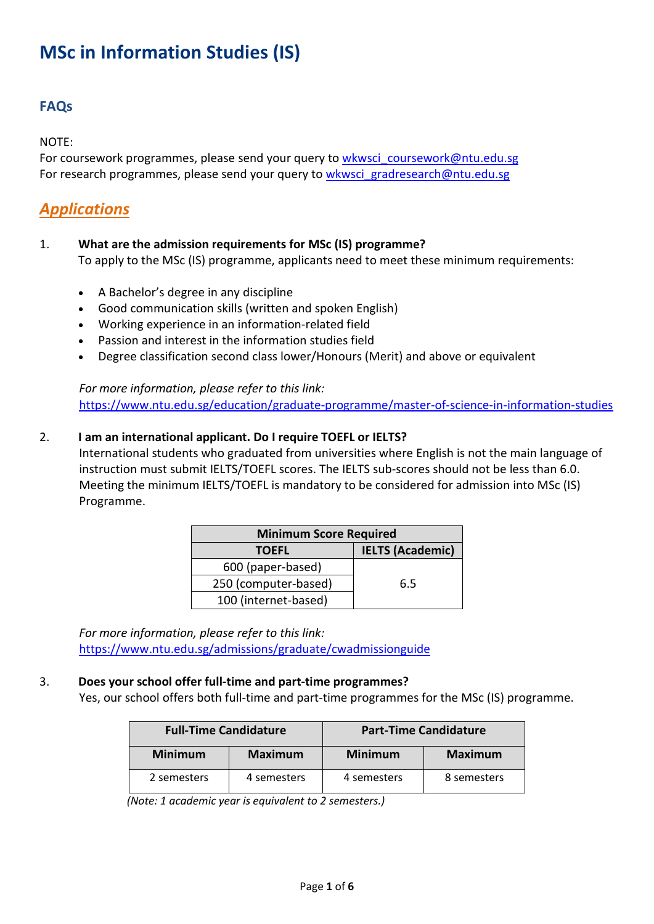# **MSc in Information Studies (IS)**

# **FAQs**

NOTE:

For coursework programmes, please send your query to [wkwsci\\_coursework@ntu.edu.sg](mailto:wkwsci_coursework@ntu.edu.sg) For research programmes, please send your query to [wkwsci\\_gradresearch@ntu.edu.sg](mailto:wkwsci_gradresearch@ntu.edu.sg)

# *Applications*

1. **What are the admission requirements for MSc (IS) programme?**

To apply to the MSc (IS) programme, applicants need to meet these minimum requirements:

- A Bachelor's degree in any discipline
- Good communication skills (written and spoken English)
- Working experience in an information-related field
- Passion and interest in the information studies field
- Degree classification second class lower/Honours (Merit) and above or equivalent

*For more information, please refer to this link:* <https://www.ntu.edu.sg/education/graduate-programme/master-of-science-in-information-studies>

#### 2. **I am an international applicant. Do I require TOEFL or IELTS?**

International students who graduated from universities where English is not the main language of instruction must submit IELTS/TOEFL scores. The IELTS sub-scores should not be less than 6.0. Meeting the minimum IELTS/TOEFL is mandatory to be considered for admission into MSc (IS) Programme.

| <b>Minimum Score Required</b> |                         |  |  |
|-------------------------------|-------------------------|--|--|
| <b>TOEFL</b>                  | <b>IELTS (Academic)</b> |  |  |
| 600 (paper-based)             |                         |  |  |
| 250 (computer-based)          | 6.5                     |  |  |
| 100 (internet-based)          |                         |  |  |

*For more information, please refer to this link:* <https://www.ntu.edu.sg/admissions/graduate/cwadmissionguide>

#### 3. **Does your school offer full-time and part-time programmes?**

Yes, our school offers both full-time and part-time programmes for the MSc (IS) programme.

| <b>Full-Time Candidature</b> |                |                | <b>Part-Time Candidature</b> |
|------------------------------|----------------|----------------|------------------------------|
| <b>Minimum</b>               | <b>Maximum</b> | <b>Minimum</b> | <b>Maximum</b>               |
| 2 semesters                  | 4 semesters    | 4 semesters    | 8 semesters                  |

 *(Note: 1 academic year is equivalent to 2 semesters.)*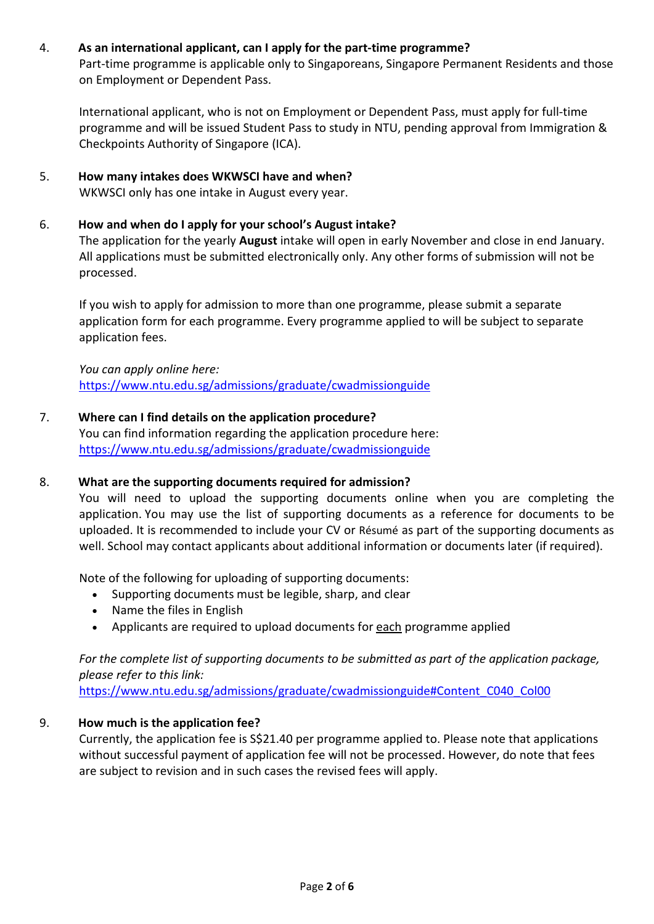#### 4. **As an international applicant, can I apply for the part-time programme?**

Part-time programme is applicable only to Singaporeans, Singapore Permanent Residents and those on Employment or Dependent Pass.

International applicant, who is not on Employment or Dependent Pass, must apply for full-time programme and will be issued Student Pass to study in NTU, pending approval from Immigration & Checkpoints Authority of Singapore (ICA).

# 5. **How many intakes does WKWSCI have and when?**

WKWSCI only has one intake in August every year.

#### 6. **How and when do I apply for your school's August intake?**

The application for the yearly **August** intake will open in early November and close in end January. All applications must be submitted electronically only. Any other forms of submission will not be processed.

If you wish to apply for admission to more than one programme, please submit a separate application form for each programme. Every programme applied to will be subject to separate application fees.

*You can apply online here:* <https://www.ntu.edu.sg/admissions/graduate/cwadmissionguide>

#### 7. **Where can I find details on the application procedure?**

You can find information regarding the application procedure here: <https://www.ntu.edu.sg/admissions/graduate/cwadmissionguide>

#### 8. **What are the supporting documents required for admission?**

You will need to upload the supporting documents online when you are completing the application. You may use the list of supporting documents as a reference for documents to be uploaded. It is recommended to include your CV or Résumé as part of the supporting documents as well. School may contact applicants about additional information or documents later (if required).

Note of the following for uploading of supporting documents:

- Supporting documents must be legible, sharp, and clear
- Name the files in English
- Applicants are required to upload documents for each programme applied

*For the complete list of supporting documents to be submitted as part of the application package, please refer to this link:*

[https://www.ntu.edu.sg/admissions/graduate/cwadmissionguide#Content\\_C040\\_Col00](https://www.ntu.edu.sg/admissions/graduate/cwadmissionguide#Content_C040_Col00)

#### 9. **How much is the application fee?**

Currently, the application fee is S\$21.40 per programme applied to. Please note that applications without successful payment of application fee will not be processed. However, do note that fees are subject to revision and in such cases the revised fees will apply.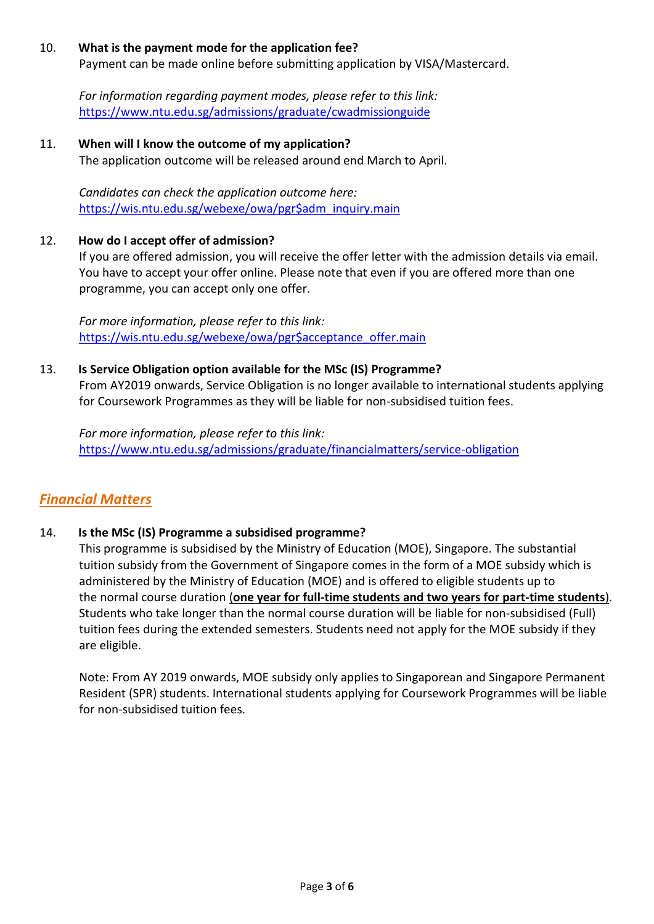#### 10. **What is the payment mode for the application fee?**

Payment can be made online before submitting application by VISA/Mastercard.

*For information regarding payment modes, please refer to this link:* <https://www.ntu.edu.sg/admissions/graduate/cwadmissionguide>

#### 11. **When will I know the outcome of my application?**

The application outcome will be released around end March to April.

*Candidates can check the application outcome here:* [https://wis.ntu.edu.sg/webexe/owa/pgr\\$adm\\_inquiry.main](https://wis.ntu.edu.sg/webexe/owa/pgr$adm_inquiry.main)

#### 12. **How do I accept offer of admission?**

If you are offered admission, you will receive the offer letter with the admission details via email. You have to accept your offer online. Please note that even if you are offered more than one programme, you can accept only one offer.

*For more information, please refer to this link:* [https://wis.ntu.edu.sg/webexe/owa/pgr\\$acceptance\\_offer.main](https://wis.ntu.edu.sg/webexe/owa/pgr$acceptance_offer.main)

#### 13. **Is Service Obligation option available for the MSc (IS) Programme?**

From AY2019 onwards, Service Obligation is no longer available to international students applying for Coursework Programmes as they will be liable for non-subsidised tuition fees.

*For more information, please refer to this link:* <https://www.ntu.edu.sg/admissions/graduate/financialmatters/service-obligation>

### *Financial Matters*

#### 14. **Is the MSc (IS) Programme a subsidised programme?**

This programme is subsidised by the Ministry of Education (MOE), Singapore. The substantial tuition subsidy from the Government of Singapore comes in the form of a MOE subsidy which is administered by the Ministry of Education (MOE) and is offered to eligible students up to the normal course duration (**one year for full-time students and two years for part-time students**). Students who take longer than the normal course duration will be liable for non-subsidised (Full) tuition fees during the extended semesters. Students need not apply for the MOE subsidy if they are eligible.

Note: From AY 2019 onwards, MOE subsidy only applies to Singaporean and Singapore Permanent Resident (SPR) students. International students applying for Coursework Programmes will be liable for non-subsidised tuition fees.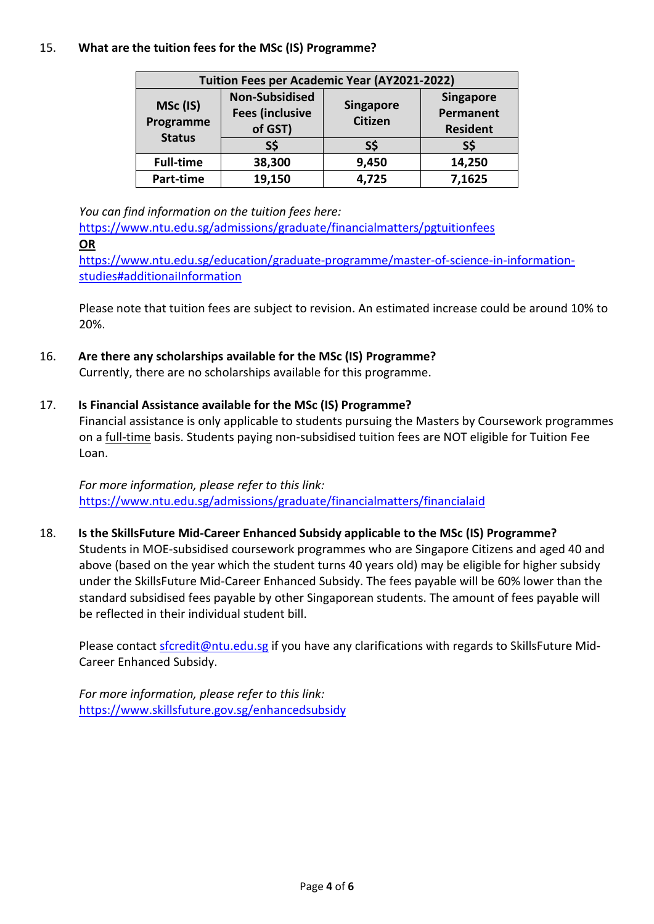#### 15. **What are the tuition fees for the MSc (IS) Programme?**

| Tuition Fees per Academic Year (AY2021-2022) |                                                            |                                    |                                                  |  |
|----------------------------------------------|------------------------------------------------------------|------------------------------------|--------------------------------------------------|--|
| MSc (IS)<br>Programme<br><b>Status</b>       | <b>Non-Subsidised</b><br><b>Fees (inclusive</b><br>of GST) | <b>Singapore</b><br><b>Citizen</b> | <b>Singapore</b><br>Permanent<br><b>Resident</b> |  |
|                                              | S\$                                                        | S\$                                | S\$                                              |  |
| <b>Full-time</b>                             | 38,300                                                     | 9,450                              | 14,250                                           |  |
| Part-time                                    | 19,150                                                     | 4,725                              | 7,1625                                           |  |

*You can find information on the tuition fees here:*

<https://www.ntu.edu.sg/admissions/graduate/financialmatters/pgtuitionfees> **OR**

[https://www.ntu.edu.sg/education/graduate-programme/master-of-science-in-information](https://www.ntu.edu.sg/education/graduate-programme/master-of-science-in-information-studies#additionaiInformation)[studies#additionaiInformation](https://www.ntu.edu.sg/education/graduate-programme/master-of-science-in-information-studies#additionaiInformation)

Please note that tuition fees are subject to revision. An estimated increase could be around 10% to 20%.

#### 16. **Are there any scholarships available for the MSc (IS) Programme?**

Currently, there are no scholarships available for this programme.

#### 17. **Is Financial Assistance available for the MSc (IS) Programme?**

Financial assistance is only applicable to students pursuing the Masters by Coursework programmes on a full-time basis. Students paying non-subsidised tuition fees are NOT eligible for Tuition Fee Loan.

*For more information, please refer to this link:* <https://www.ntu.edu.sg/admissions/graduate/financialmatters/financialaid>

#### 18. **Is the SkillsFuture Mid-Career Enhanced Subsidy applicable to the MSc (IS) Programme?**

Students in MOE-subsidised coursework programmes who are Singapore Citizens and aged 40 and above (based on the year which the student turns 40 years old) may be eligible for higher subsidy under the SkillsFuture Mid-Career Enhanced Subsidy. The fees payable will be 60% lower than the standard subsidised fees payable by other Singaporean students. The amount of fees payable will be reflected in their individual student bill.

Please contact [sfcredit@ntu.edu.sg](mailto:sfcredit@ntu.edu.sg) if you have any clarifications with regards to SkillsFuture Mid-Career Enhanced Subsidy.

*For more information, please refer to this link:* <https://www.skillsfuture.gov.sg/enhancedsubsidy>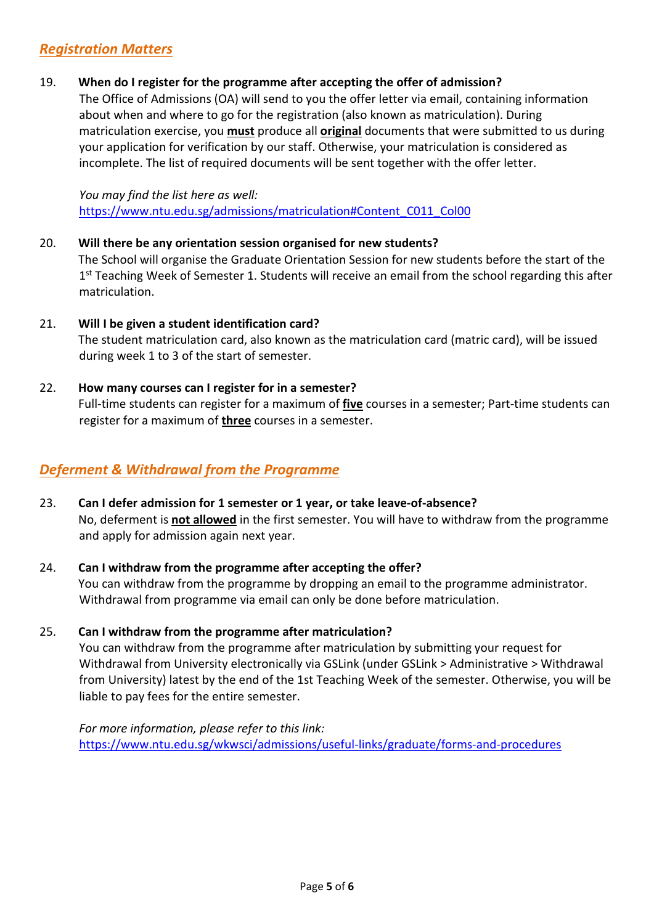# *Registration Matters*

#### 19. **When do I register for the programme after accepting the offer of admission?**

The Office of Admissions (OA) will send to you the offer letter via email, containing information about when and where to go for the registration (also known as matriculation). During matriculation exercise, you **must** produce all **original** documents that were submitted to us during your application for verification by our staff. Otherwise, your matriculation is considered as incomplete. The list of required documents will be sent together with the offer letter.

*You may find the list here as well:* [https://www.ntu.edu.sg/admissions/matriculation#Content\\_C011\\_Col00](https://www.ntu.edu.sg/admissions/matriculation#Content_C011_Col00)

# 20. **Will there be any orientation session organised for new students?** The School will organise the Graduate Orientation Session for new students before the start of the 1<sup>st</sup> Teaching Week of Semester 1. Students will receive an email from the school regarding this after matriculation.

21. **Will I be given a student identification card?** The student matriculation card, also known as the matriculation card (matric card), will be issued during week 1 to 3 of the start of semester.

#### 22. **How many courses can I register for in a semester?**

Full-time students can register for a maximum of **five** courses in a semester; Part-time students can register for a maximum of **three** courses in a semester.

### *Deferment & Withdrawal from the Programme*

23. **Can I defer admission for 1 semester or 1 year, or take leave-of-absence?** No, deferment is **not allowed** in the first semester. You will have to withdraw from the programme and apply for admission again next year.

#### 24. **Can I withdraw from the programme after accepting the offer?** You can withdraw from the programme by dropping an email to the programme administrator. Withdrawal from programme via email can only be done before matriculation.

#### 25. **Can I withdraw from the programme after matriculation?**

You can withdraw from the programme after matriculation by submitting your request for Withdrawal from University electronically via GSLink (under GSLink > Administrative > Withdrawal from University) latest by the end of the 1st Teaching Week of the semester. Otherwise, you will be liable to pay fees for the entire semester.

*For more information, please refer to this link:* <https://www.ntu.edu.sg/wkwsci/admissions/useful-links/graduate/forms-and-procedures>